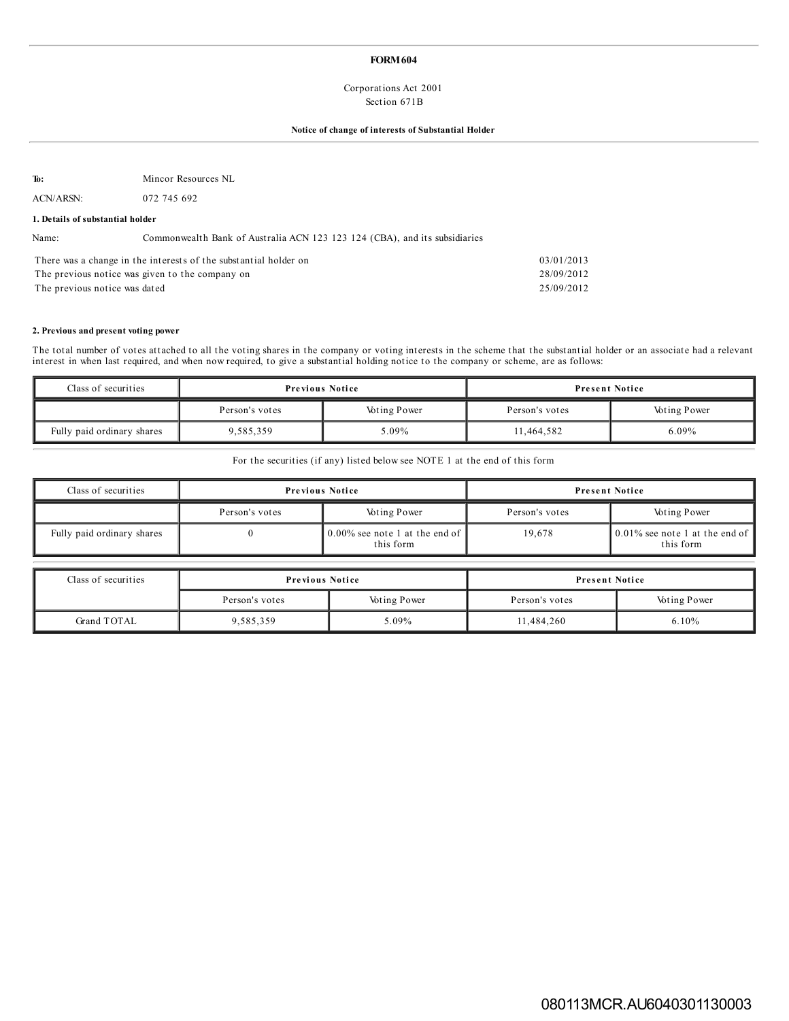## **FORM604**

## Corporations Act 2001 Section 671B

## **Notice of change of interests of Substantial Holder**

**To:** Mincor Resources NL

ACN/ARSN: 072 745 692

#### **1. Details of substantial holder**

Name: Commonwealth Bank of Australia ACN 123 123 124 (CBA), and its subsidiaries

| There was a change in the interests of the substantial holder on | 03/01/2013 |
|------------------------------------------------------------------|------------|
| The previous notice was given to the company on                  | 28/09/2012 |
| The previous notice was dated                                    | 25/09/2012 |

#### **2. Previous and present voting power**

The total number of votes attached to all the voting shares in the company or voting interests in the scheme that the substantial holder or an associate had a relevant interest in when last required, and when now required, to give a substantial holding notice to the company or scheme, are as follows:

| Class of securities        | <b>Previous Notice</b> |                     | <b>Present Notice</b> |                     |  |
|----------------------------|------------------------|---------------------|-----------------------|---------------------|--|
|                            | Person's votes         | <b>Voting Power</b> | Person's votes        | <b>Voting Power</b> |  |
| Fully paid ordinary shares | 9,585,359              | 5.09%               | 11.464.582            | $6.09\%$            |  |

For the securities (if any) listed below see NOTE 1 at the end of this form

| Class of securities        | <b>Previous Notice</b> |                                                                       |                | <b>Present Notice</b>                                        |
|----------------------------|------------------------|-----------------------------------------------------------------------|----------------|--------------------------------------------------------------|
|                            | Person's votes         | <b>Voting Power</b>                                                   | Person's votes | <b>Voting Power</b>                                          |
| Fully paid ordinary shares |                        | $\frac{1}{2}0.00\%$ see note 1 at the end of $\parallel$<br>this form | 19.678         | $\vert 0.01\%$ see note 1 at the end of $\vert$<br>this form |

| Class of securities | <b>Previous Notice</b> |                     | <b>Present Notice</b> |                     |
|---------------------|------------------------|---------------------|-----------------------|---------------------|
|                     | Person's votes         | <b>Voting Power</b> | Person's votes        | <b>Voting Power</b> |
| Grand TOTAL         | 9,585,359              | $0.09\%$            | 11,484,260            | $6.10\%$            |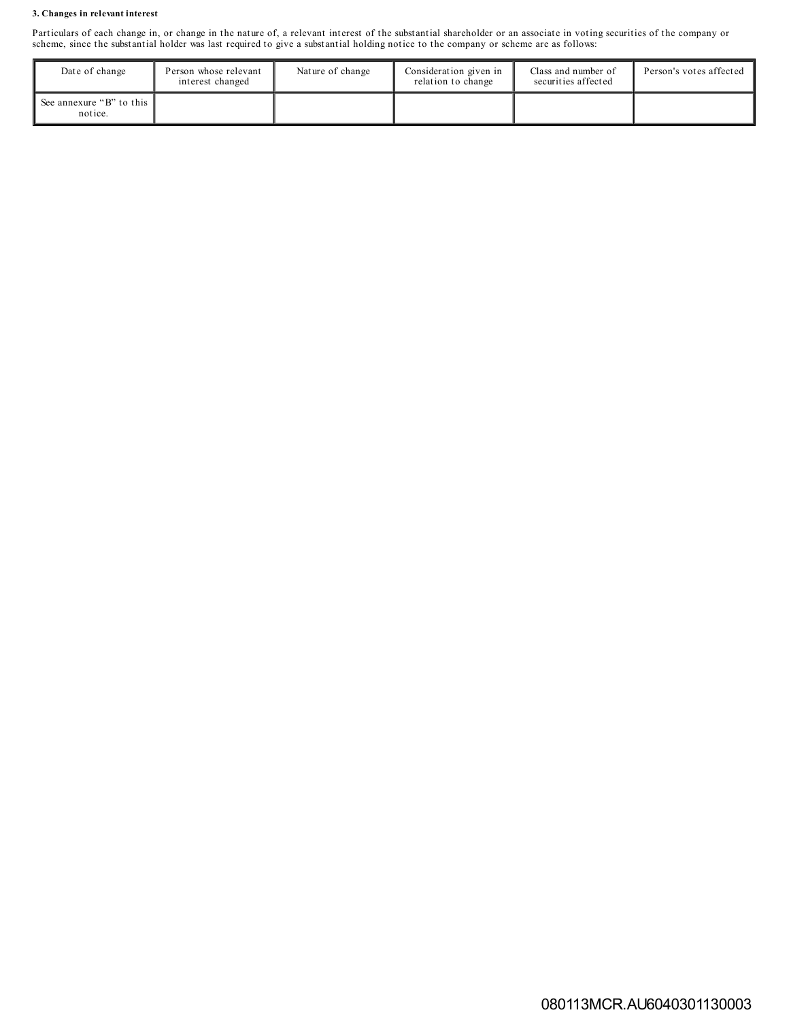## **3. Changes in relevant interest**

Particulars of each change in, or change in the nature of, a relevant interest of the substantial shareholder or an associate in voting securities of the company or scheme, since the substantial holder was last required to give a substantial holding notice to the company or scheme are as follows:

| Date of change                      | Person whose relevant<br>interest changed | Nature of change | Consideration given in<br>relation to change | Class and number of<br>securities affected | Person's votes affected |
|-------------------------------------|-------------------------------------------|------------------|----------------------------------------------|--------------------------------------------|-------------------------|
| See annexure "B" to this<br>notice. |                                           |                  |                                              |                                            |                         |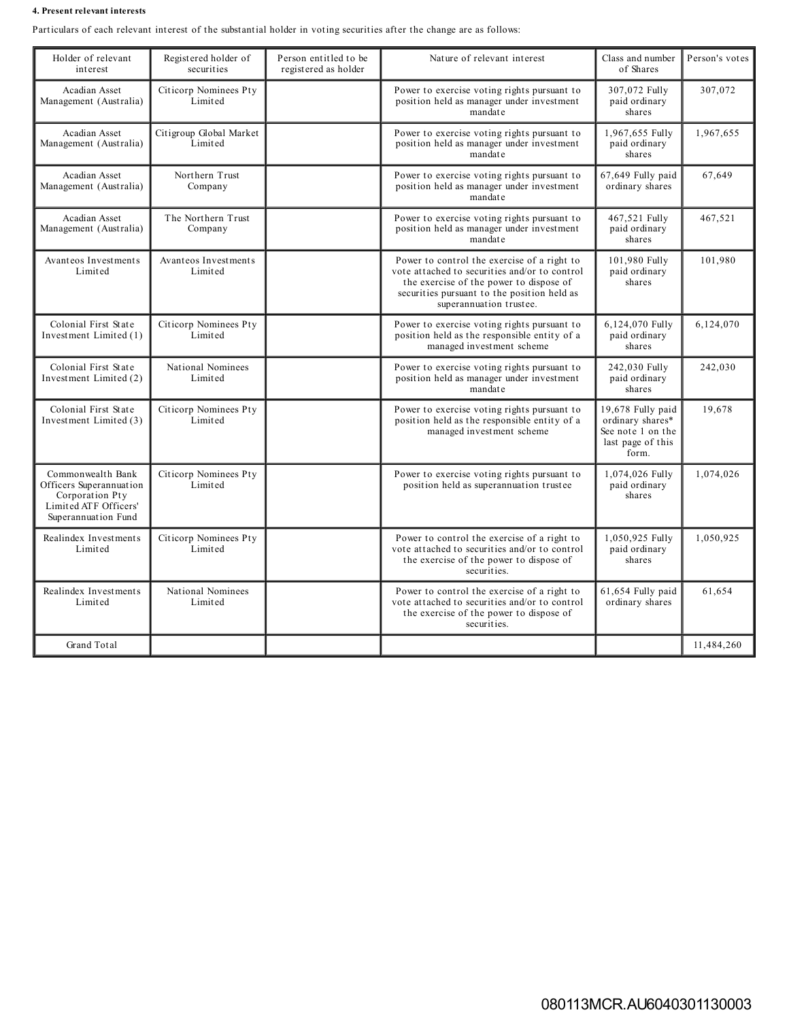#### **4. Present relevant interests**

Particulars of each relevant interest of the substantial holder in voting securities after the change are as follows:

| Holder of relevant<br>interest                                                                                  | Registered holder of<br>securities | Person entitled to be<br>registered as holder | Nature of relevant interest                                                                                                                                                                                       | Class and number<br>of Shares                                                            | Person's votes |
|-----------------------------------------------------------------------------------------------------------------|------------------------------------|-----------------------------------------------|-------------------------------------------------------------------------------------------------------------------------------------------------------------------------------------------------------------------|------------------------------------------------------------------------------------------|----------------|
| Acadian Asset<br>Management (Australia)                                                                         | Citicorp Nominees Pty<br>Limited   |                                               | Power to exercise voting rights pursuant to<br>position held as manager under investment<br>mandate                                                                                                               | 307,072 Fully<br>paid ordinary<br>shares                                                 | 307,072        |
| Acadian Asset<br>Management (Australia)                                                                         | Citigroup Global Market<br>Limited |                                               | Power to exercise voting rights pursuant to<br>position held as manager under investment<br>mandate                                                                                                               | 1,967,655 Fully<br>paid ordinary<br>shares                                               | 1,967,655      |
| Acadian Asset<br>Management (Australia)                                                                         | Northern Trust<br>Company          |                                               | Power to exercise voting rights pursuant to<br>position held as manager under investment<br>mandate                                                                                                               | 67,649 Fully paid<br>ordinary shares                                                     | 67,649         |
| Acadian Asset<br>Management (Australia)                                                                         | The Northern Trust<br>Company      |                                               | Power to exercise voting rights pursuant to<br>position held as manager under investment<br>mandate                                                                                                               | 467,521 Fully<br>paid ordinary<br>shares                                                 | 467,521        |
| Avanteos Investments<br>Limited                                                                                 | Avanteos Investments<br>Limited    |                                               | Power to control the exercise of a right to<br>vote attached to securities and/or to control<br>the exercise of the power to dispose of<br>securities pursuant to the position held as<br>superannuation trustee. | 101,980 Fully<br>paid ordinary<br>shares                                                 | 101,980        |
| Colonial First State<br>Investment Limited (1)                                                                  | Citicorp Nominees Pty<br>Limited   |                                               | Power to exercise voting rights pursuant to<br>position held as the responsible entity of a<br>managed investment scheme                                                                                          | 6,124,070 Fully<br>paid ordinary<br>shares                                               | 6,124,070      |
| Colonial First State<br>Investment Limited (2)                                                                  | National Nominees<br>Limited       |                                               | Power to exercise voting rights pursuant to<br>position held as manager under investment<br>mandate                                                                                                               | 242,030 Fully<br>paid ordinary<br>shares                                                 | 242,030        |
| Colonial First State<br>Investment Limited (3)                                                                  | Citicorp Nominees Pty<br>Limited   |                                               | Power to exercise voting rights pursuant to<br>position held as the responsible entity of a<br>managed investment scheme                                                                                          | 19,678 Fully paid<br>ordinary shares*<br>See note 1 on the<br>last page of this<br>form. | 19.678         |
| Commonwealth Bank<br>Officers Superannuation<br>Corporation Pty<br>Limited ATF Officers'<br>Superannuation Fund | Citicorp Nominees Pty<br>Limited   |                                               | Power to exercise voting rights pursuant to<br>position held as superannuation trustee                                                                                                                            | 1,074,026 Fully<br>paid ordinary<br>shares                                               | 1,074,026      |
| Realindex Investments<br>Limited                                                                                | Citicorp Nominees Pty<br>Limited   |                                               | Power to control the exercise of a right to<br>vote attached to securities and/or to control<br>the exercise of the power to dispose of<br>securities.                                                            | 1,050,925 Fully<br>paid ordinary<br>shares                                               | 1,050,925      |
| Realindex Investments<br>Limited                                                                                | National Nominees<br>Limited       |                                               | Power to control the exercise of a right to<br>vote attached to securities and/or to control<br>the exercise of the power to dispose of<br>securities.                                                            | 61,654 Fully paid<br>ordinary shares                                                     | 61,654         |
| Grand Total                                                                                                     |                                    |                                               |                                                                                                                                                                                                                   |                                                                                          | 11.484.260     |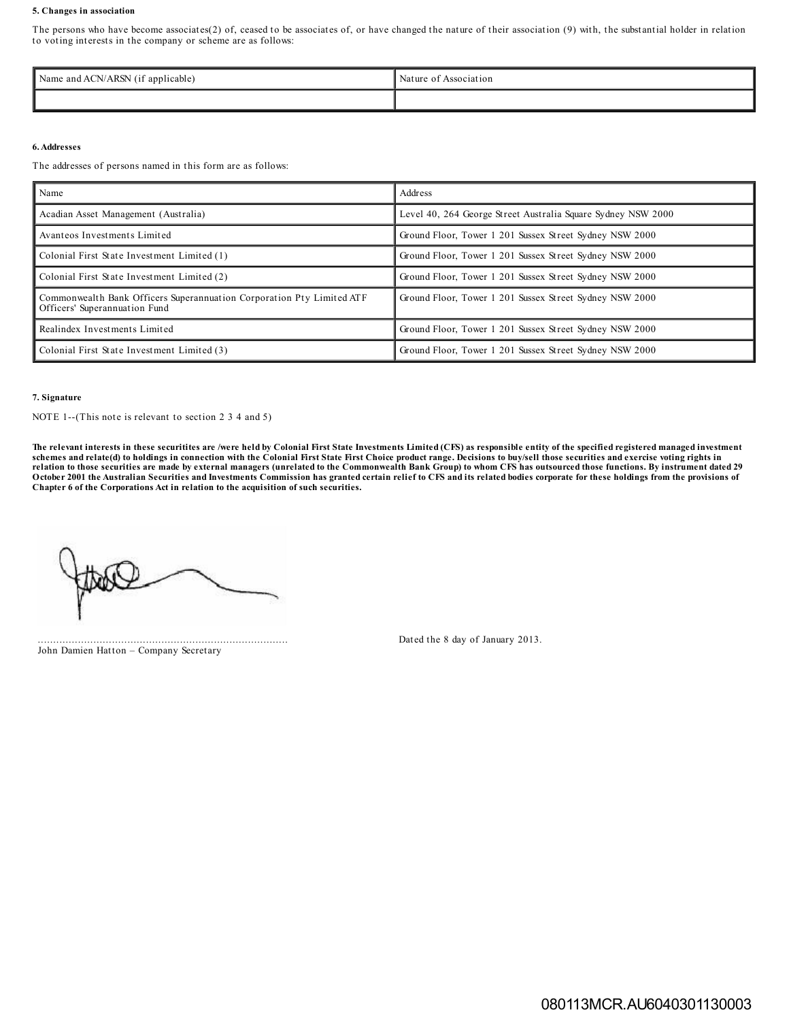#### **5. Changes in association**

The persons who have become associates(2) of, ceased to be associates of, or have changed the nature of their association (9) with, the substantial holder in relation to voting interests in the company or scheme are as follows:

| <b>ACN/ARSN</b><br>applicable)<br>Name and the N<br>AUN/<br>, , ,<br>. | Nature<br>Association |
|------------------------------------------------------------------------|-----------------------|
|                                                                        |                       |

#### **6.Addresses**

The addresses of persons named in this form are as follows:

| Name                                                                                                   | Address                                                      |
|--------------------------------------------------------------------------------------------------------|--------------------------------------------------------------|
| Acadian Asset Management (Australia)                                                                   | Level 40, 264 George Street Australia Square Sydney NSW 2000 |
| Avanteos Investments Limited                                                                           | Ground Floor, Tower 1 201 Sussex Street Sydney NSW 2000      |
| Colonial First State Investment Limited (1)                                                            | Ground Floor, Tower 1 201 Sussex Street Sydney NSW 2000      |
| Colonial First State Investment Limited (2)                                                            | Ground Floor, Tower 1 201 Sussex Street Sydney NSW 2000      |
| Commonwealth Bank Officers Superannuation Corporation Pty Limited ATF<br>Officers' Superannuation Fund | Ground Floor, Tower 1 201 Sussex Street Sydney NSW 2000      |
| Realindex Investments Limited                                                                          | Ground Floor, Tower 1 201 Sussex Street Sydney NSW 2000      |
| Colonial First State Investment Limited (3)                                                            | Ground Floor, Tower 1 201 Sussex Street Sydney NSW 2000      |

#### **7. Signature**

NOTE 1--(This note is relevant to section 2 3 4 and 5)

The relevant interests in these securitites are /were held by Colonial First State Investments Limited (CFS) as responsible entity of the specified registered managed investment schemes and relate(d) to holdings in connection with the Colonial First State First Choice product range. Decisions to buy/sell those securities and exercise voting rights in<br>relation to those securities are made by extern October 2001 the Australian Securities and Investments Commission has granted certain relief to CFS and its related bodies corporate for these holdings from the provisions of **Chapter 6 of the Corporations Act in relation to the acquisition of such securities.**

.................................................................................

John Damien Hatton – Company Secretary

Dated the 8 day of January 2013.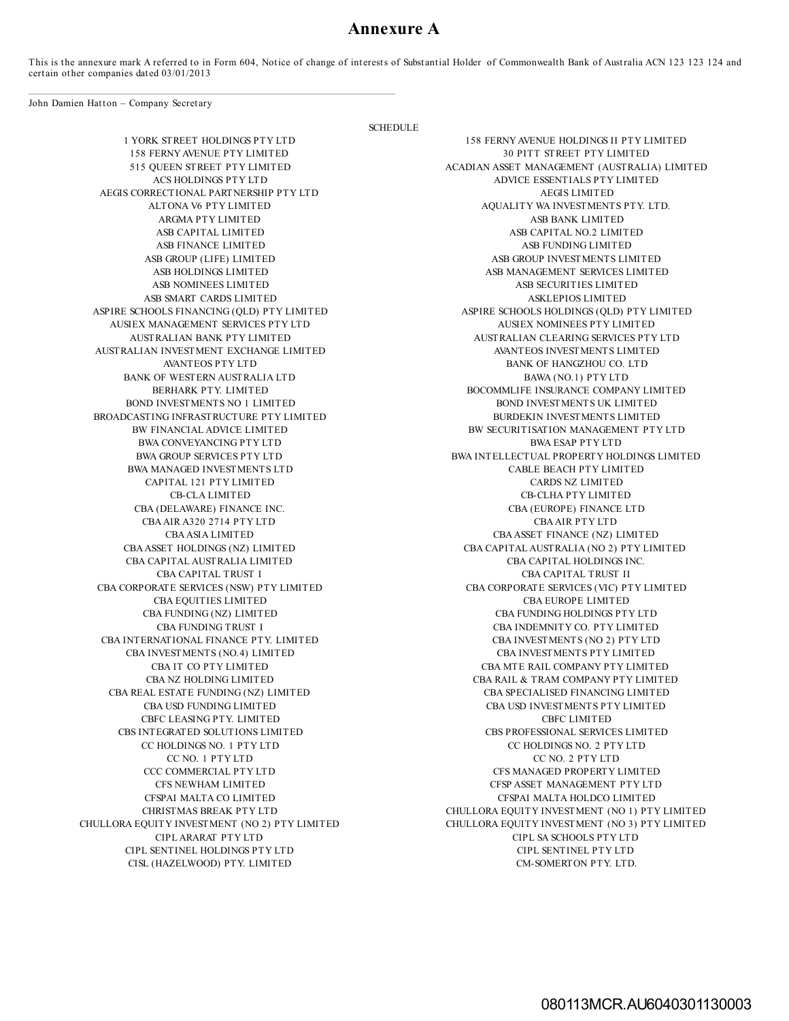## **Annexure A**

This is the annexure mark A referred to in Form 604, Notice of change of interests of Substantial Holder of Commonwealth Bank of Australia ACN 123 123 124 and certain other companies dated 03/01/2013

SCHEDULE

John Damien Hatton – Company Secretary

AEGIS CORRECTIONAL PARTNERSHIP PTY LTD AEGIS LIMITED ASB SMART CARDS LIMITED ASKLEPIOS LIMITED ASKLEPIOS LIMITED AUSIEX MANAGEMENT SERVICES PTY LTD AUSIEX NOMINEES PTY LIMITED AUSTRALIAN INVESTMENT EXCHANGE LIMITED AVANTEOS INVESTMENTS LIMITED BANK OF WESTERN AUSTRALIA LTD BAWA (NO.1) PTY LTD BROADCASTING INFRASTRUCTURE PTY LIMITED BURDEKIN INVESTMENTS LIMITED BWA CONVEYANCING PTY LTD BWA ESAP PTY LTD BWA MANAGED INVESTMENTS LTD CABLE BEACH PTY LIMITED CAPITAL 121 PTY LIMITED CARDS NZ LIMITED CBAAIR A320 2714 PTY LTD CBAAIR PTY LTD CBA CAPITAL AUSTRALIA LIMITED CBA CAPITAL HOLDINGS INC. CBA CORPORATE SERVICES (NSW) PTY LIMITED CBA INTERNATIONAL FINANCE PTY. LIMITED CBA INVESTMENTS (NO 2) PTY LTD CBA REAL ESTATE FUNDING (NZ) LIMITED CBA SPECIALISED FINANCING LIMITED CBFC LEASING PTY. LIMITED CBFC LIMITED CIPL SENTINEL HOLDINGS PTY LTD CIPL SENTINEL PTY LTD CISL (HAZELWOOD) PTY. LIMITED CM-SOMERTON PTY. LTD.

1 YORK STREET HOLDINGS PTY LTD 158 FERNYAVENUE HOLDINGS II PTY LIMITED 158 FERNY AVENUE PTY LIMITED 30 PITT STREET PTY LIMITED 315 OUEEN STREET PTY LIMITED 4CADIAN ASSET MANAGEMENT (AUSTRALI ACADIAN ASSET MANAGEMENT (AUSTRALIA) LIMITED ACS HOLDINGS PTY LTD ADVICE ESSENTIALS PTY LIMITED ALTONA V6 PTY LIMITED AQUALITY WA INVESTMENTS PTY. LTD. ARGMA PTY LIMITED ASB BANK LIMITED ASB CAPITAL LIMITED ASB CAPITAL LIMITED ASB CAPITAL NO.2 LIMITED ASB FINANCE LIMITED ASB FUNDING LIMITED ASB GROUP (LIFE) LIMITED ASB GROUP INVESTMENTS LIMITED ASB HOLDINGS LIMITED ASB MANAGEMENT SERVICES LIMITED ASB NOMINEES LIMITED ASB SECURITIES LIMITED ASPIRE SCHOOLS FINANCING (QLD) PTY LIMITED ASPIRE SCHOOLS HOLDINGS (QLD) PTY LIMITED AUSTRALIAN BANK PTY LIMITED AUSTRALIAN CLEARING SERVICES PTY LTD AVANTEOS PTY LTD BANK OF HANGZHOU CO. LTD BERHARK PTY. LIMITED BOCOMMLIFE INSURANCE COMPANY LIMITED BOND INVESTMENTS NO 1 LIMITED **BOND INVESTMENTS UK LIMITED** BW FINANCIAL ADVICE LIMITED BW SECURITISATION MANAGEMENT PTY LTD BWA GROUP SERVICES PTY LTD BWA INTELLECTUAL PROPERTY HOLDINGS LIMITED CB-CLA LIMITED CB-CLHA PTY LIMITED CBA (DELAWARE) FINANCE INC. CBA (EUROPE) FINANCE LTD CBAASIA LIMITED CBAASSET FINANCE (NZ) LIMITED CBAASSET HOLDINGS (NZ) LIMITED CBA CAPITAL AUSTRALIA (NO 2) PTY LIMITED CBA CAPITAL TRUST I CBA CAPITAL TRUST I CBA CAPITAL TRUST II CBA CORPORATE SERVICES (VIC) PTY LIMITED CBA EQUITIES LIMITED CBA EUROPE LIMITED CBA FUNDING (NZ) LIMITED CBA FUNDING HOLDINGS PTY LTD CBA FUNDING TRUST I CBA INDEMNITY CO. PTY LIMITED CBA INVESTMENTS (NO.4) LIMITED CBA INVESTMENTS PTY LIMITED CBA IT CO PTY LIMITED CBA MTE RAIL COMPANY PTY LIMITED CBA NZ HOLDING LIMITED CBA RAIL & TRAM COMPANY PTY LIMITED CBA USD FUNDING LIMITED CBA USD INVESTMENTS PTY LIMITED CBS INTEGRATED SOLUTIONS LIMITED CBS PROFESSIONAL SERVICES LIMITED CC HOLDINGS NO. 1 PTY LTD CC HOLDINGS NO. 2 PTY LTD CC NO. 1 PTY LTD CC NO. 2 PTY LTD CCC COMMERCIAL PTY LTD CFS MANAGED PROPERTY LIMITED CFS NEWHAM LIMITED CFSP ASSET MANAGEMENT PTY LTD CFSPAI MALTA CO LIMITED CFSPAI MALTA HOLDCO LIMITED CHRISTMAS BREAK PTY LTD CHULLORA EQUITY INVESTMENT (NO 1) PTY LIMITED CHULLORA EQUITY INVESTMENT (NO 2) PTY LIMITED CHULLORA EQUITY INVESTMENT (NO 3) PTY LIMITED CIPL ARARAT PTY LTD CIPL SA SCHOOLS PTY LTD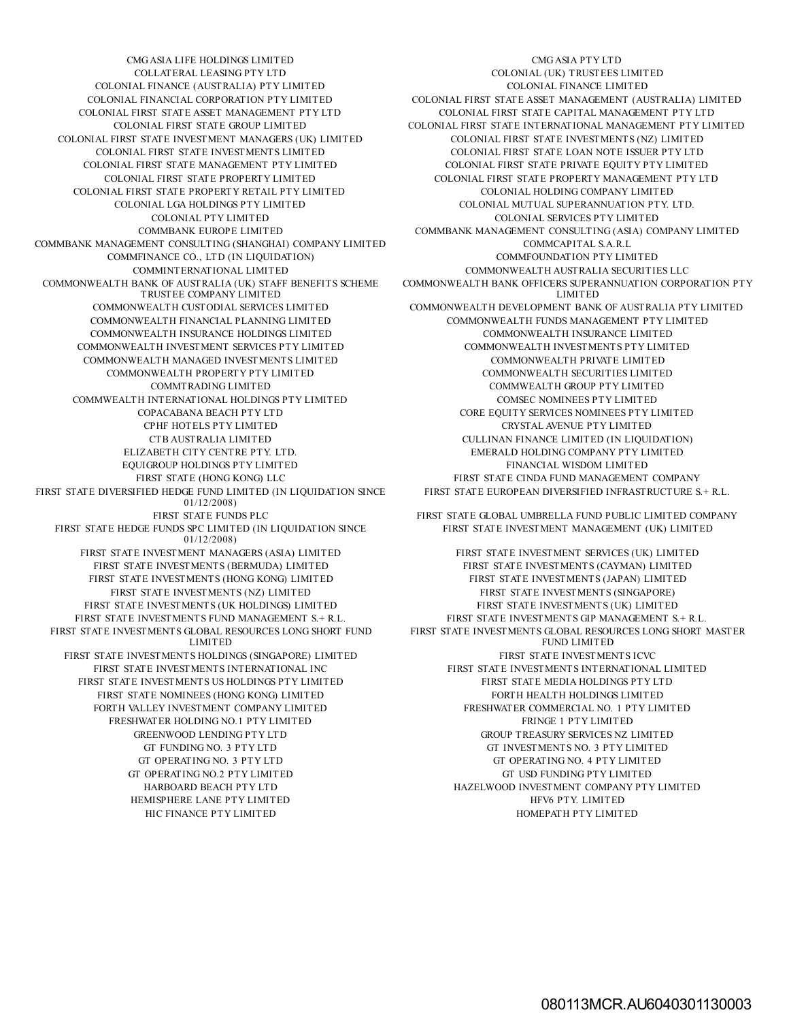COLONIAL FINANCE (AUSTRALIA) PTY LIMITED COLONIAL FINANCE LIMITED COLONIAL FIRST STATE INVESTMENT MANAGERS (UK) LIMITED COLONIAL FIRST STATE INVESTMENTS (NZ) LIMITED COLONIAL FIRST STATE PROPERTY RETAIL PTY LIMITED COLONIAL HOLDING COMPANY LIMITED COMMBANK MANAGEMENT CONSULTING (SHANGHAI) COMPANY LIMITED COMMCAPITAL S.A.R.L COMMFINANCE CO., LTD (IN LIQUIDATION) COMMFOUNDATION PTY LIMITED COMMONWEALTH BANK OF AUSTRALIA (UK) STAFF BENEFITS SCHEME TRUSTEE COMPANY LIMITED<br>COMMONWEALTH CUSTODIAL SERVICES LIMITED COMMONWEALTH INSURANCE HOLDINGS LIMITED COMMONWEALTH INVESTMENT SERVICES PTY LIMITED COMMONWEALTH INVESTMENTS PTY LIMITED COMMONWEALTH MANAGED INVESTMENTS LIMITED COMMONWEALTH PRIVATE LIMITED COMMONWEALTH PROPERTY PTY LIMITED COMMONWEALTH SECURITIES LIMITED COMMWEALTH INTERNATIONAL HOLDINGS PTY LIMITED COMSEC NOMINEES PTY LIMITED EQUIGROUP HOLDINGS PTY LIMITED FINANCIAL WISDOM LIMITED FIRST STATE DIVERSIFIED HEDGE FUND LIMITED (IN LIQUIDATION SINCE 01/12/2008) FIRST STATE HEDGE FUNDS SPC LIMITED (IN LIQUIDATION SINCE 01/12/2008) FIRST STATE INVESTMENT MANAGERS (ASIA) LIMITED FIRST STATE INVESTMENT SERVICES (UK) LIMITED FIRST STATE INVESTMENTS (BERMUDA) LIMITED FIRST STATE INVESTMENTS (CAYMAN) LIMITED FIRST STATE INVESTMENTS (HONG KONG) LIMITED FIRST STATE INVESTMENTS (JAPAN) LIMITED FIRST STATE INVESTMENTS (NZ) LIMITED FIRST STATE INVESTMENTS (SINGAPORE) FIRST STATE INVESTMENTS (UK HOLDINGS) LIMITED FIRST STATE INVESTMENTS (UK) LIMITED FIRST STATE INVESTMENTS FUND MANAGEMENT S.+ R.L. FIRST STATE INVESTMENTS GIP MANAGEMENT S.+ R.L. FIRST STATE INVESTMENTS GLOBAL RESOURCES LONG SHORT FUND LIMITED FIRST STATE INVESTMENTS HOLDINGS (SINGAPORE) LIMITED FIRST STATE INVESTMENTS ICVC FIRST STATE INVESTMENTS US HOLDINGS PTY LIMITED FIRST STATE MEDIA HOLDINGS PTY LTD FIRST STATE NOMINEES (HONG KONG) LIMITED FORTH HEALTH HOLDINGS LIMITED FORTH VALLEY INVESTMENT COMPANY LIMITED FRESHWATER COMMERCIAL NO. 1 PTY LIMITED FRESHWATER HOLDING NO.1 PTY LIMITED FRINGE 1 PTY LIMITED GT OPERATING NO.2 PTY LIMITED GT USD FUNDING PTY LIMITED HEMISPHERE LANE PTY LIMITED **HEMISPHERE LANE PTY.** LIMITED

CMGASIA LIFE HOLDINGS LIMITED CMGASIA PTY LTD COLLATERAL LEASING PTY LTD COLONIAL (UK) TRUSTEES LIMITED COLONIAL FINANCIAL CORPORATION PTY LIMITED COLONIAL FIRST STATE ASSET MANAGEMENT (AUSTRALIA) LIMITED COLONIAL FIRST STATE ASSET MANAGEMENT PTY LTD COLONIAL FIRST STATE CAPITAL MANAGEMENT PTY LTD COLONIAL FIRST STATE GROUP LIMITED COLONIAL FIRST STATE INTERNATIONAL MANAGEMENT PTY LIMITED COLONIAL FIRST STATE INVESTMENTS LIMITED COLONIAL FIRST STATE LOAN NOTE ISSUER PTY LTD COLONIAL FIRST STATE MANAGEMENT PTY LIMITED COLONIAL FIRST STATE PRIVATE EQUITY PTY LIMITED COLONIAL FIRST STATE PROPERTY MANAGEMENT PTY LTD COLONIAL LGA HOLDINGS PTY LIMITED COLONIAL MUTUAL SUPERANNUATION PTY. LTD. COLONIAL PTY LIMITED COLONIAL SERVICES PTY LIMITED COMMBANK EUROPE LIMITED COMMBANK MANAGEMENT CONSULTING (ASIA) COMPANY LIMITED COMMINTERNATIONAL LIMITED COMMONWEALTH AUSTRALIA SECURITIES LLC COMMONWEALTH BANK OFFICERS SUPERANNUATION CORPORATION PTY LIMITED COMMONWEALTH DEVELOPMENT BANK OF AUSTRALIA PTY LIMITED COMMONWEALTH FINANCIAL PLANNING LIMITED COMMONWEALTH FUNDS MANAGEMENT PTY LIMITED COMMTRADING LIMITED COMMWEALTH GROUP PTY LIMITED COPACABANA BEACH PTY LTD CORE EQUITY SERVICES NOMINEES PTY LIMITED CPHF HOTELS PTY LIMITED CRYSTAL AVENUE PTY LIMITED CTB AUSTRALIA LIMITED CULLINAN FINANCE LIMITED (IN LIQUIDATION) ELIZABETH CITY CENTRE PTY. LTD. EMERALD HOLDING COMPANY PTY LIMITED FIRST STATE (HONG KONG) LLC FIRST STATE CINDA FUND MANAGEMENT COMPANY FIRST STATE EUROPEAN DIVERSIFIED INFRASTRUCTURE S.+ R.L.

FIRST STATE FUNDS PLC FIRST STATE GLOBAL UMBRELLA FUND PUBLIC LIMITED COMPANY FIRST STATE INVESTMENT MANAGEMENT (UK) LIMITED

FIRST STATE INVESTMENTS GLOBAL RESOURCES LONG SHORT MASTER FUND LIMITED FIRST STATE INVESTMENTS INTERNATIONAL INC FIRST STATE INVESTMENTS INTERNATIONAL LIMITED GREENWOOD LENDING PTY LTD GROUP TREASURY SERVICES NZ LIMITED GT FUNDING NO. 3 PTY LTD GT INVESTMENTS NO. 3 PTY LIMITED GT OPERATING NO. 3 PTY LTD GT OPERATING NO. 4 PTY LIMITED HARBOARD BEACH PTY LTD HAZELWOOD INVESTMENT COMPANY PTY LIMITED HIC FINANCE PTY LIMITED HOMEPATH PTY LIMITED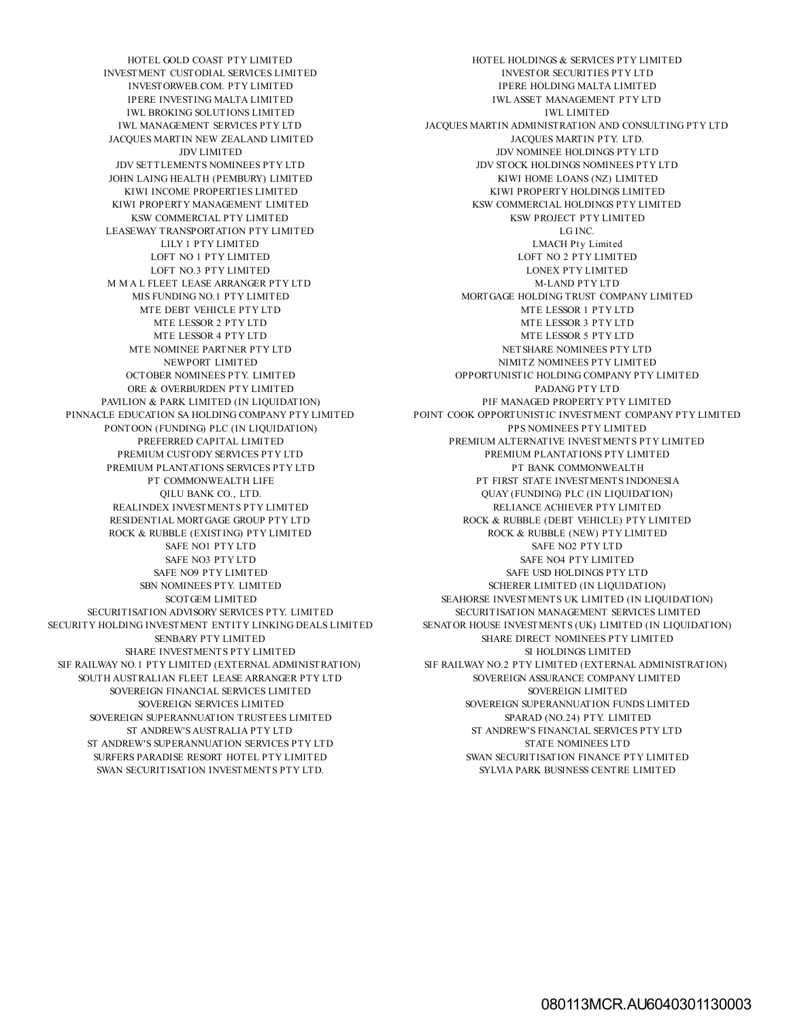INVESTMENT CUSTODIAL SERVICES LIMITED INVESTOR SECURITIES PTY LTD INVESTORWEB.COM. PTY LIMITED IPERE HOLDING MALTA LIMITED IWL BROKING SOLUTIONS LIMITED **IWL LIMITED** JACQUES MARTIN NEW ZEALAND LIMITED JACQUES MARTIN PTY. LTD. JOHN LAING HEALTH (PEMBURY) LIMITED KIWI HOME LOANS (NZ) LIMITED KSW COMMERCIAL PTY LIMITED KSW PROJECT PTY LIMITED LEASEWAY TRANSPORTATION PTY LIMITED **EXAMPLE 2018** LG INC. LILY 1 PTY LIMITED LANGUARY 1 CONTROL LILY 1 PTY LIMITED LOFT NO.3 PTY LIMITED LONEX PTY LIMITED M M A L FLEET LEASE ARRANGER PTY LTD M-LAND PTY LTD MTE DEBT VEHICLE PTY LTD **MTE LESSOR 1 PTY LTD** MTE NOMINEE PARTNER PTY LTD NETSHARE NOMINEES PTY LTD NEWPORT LIMITED NIMITZ NOMINEES PTY LIMITED NEWPORT UNITED OCTOBER NOMINEES PTY. LIMITED ORE & OVERBURDEN PTY LIMITED **EXAMPLE 2008** PADANG PTY LTD PAVILION & PARK LIMITED (IN LIQUIDATION) PIF MANAGED PROPERTY PTY LIMITED PONTOON (FUNDING) PLC (IN LIQUIDATION) PPS NOMINEES PTY LIMITED PREMIUM PLANTATIONS SERVICES PTY LTD REALINDEX INVESTMENTS PTY LIMITED RELIANCE ACHIEVER PTY LIMITED ROCK & RUBBLE (EXISTING) PTY LIMITED ROCK & RUBBLE (NEW) PTY LIMITED SHARE INVESTMENTS PTY LIMITED SI HOLDINGS LIMITED SI HOLDINGS LIMITED SOUTH AUSTRALIAN FLEET LEASE ARRANGER PTY LTD SOVEREIGN ASSURANCE COMPANY LIMITED SOVEREIGN FINANCIAL SERVICES LIMITED SOVEREIGN LIMITED SOVEREIGN SUPERANNUATION TRUSTEES LIMITED SPARAD (NO.24) PTY. LIMITED ST ANDREW'S SUPERANNUATION SERVICES PTY LTD STATE NOMINEES LTD STATE NOMINEES LTD SURFERS PARADISE RESORT HOTEL PTY LIMITED SWAN SECURITISATION FINANCE PTY LIMITED SWAN SECURITISATION INVESTMENTS PTY LTD. SYLVIA PARK BUSINESS CENTRE LIMITED

HOTEL GOLD COAST PTY LIMITED HOTEL HOLDINGS & SERVICES PTY LIMITED IPERE INVESTING MALTA LIMITED **INVESTING MALTA LIMITED IWL ASSET MANAGEMENT PTY LTD** IWL MANAGEMENT SERVICES PTY LTD JACQUES MARTIN ADMINISTRATION AND CONSULTING PTY LTD JDV LIMITED JDV NOMINEE HOLDINGS PTY LTD JDV SETTLEMENTS NOMINEES PTY LTD JDV STOCK HOLDINGS NOMINEES PTY LTD KIWI INCOME PROPERTIES LIMITED **EXECUTES KIWI PROPERTY HOLDINGS LIMITED** KIWI PROPERTY MANAGEMENT LIMITED **KSW COMMERCIAL HOLDINGS PTY LIMITED** LOFT NO 1 PTY LIMITED LOFT NO 2 PTY LIMITED MIS FUNDING NO.1 PTY LIMITED MORTGAGE HOLDING TRUST COMPANY LIMITED MTE LESSOR 2 PTY LTD MTE LESSOR 3 PTY LTD MTE LESSOR 4 PTY LTD AND THE LESSOR 5 PTY LTD OPPORTUNISTIC HOLDING COMPANY PTY LIMITED PINNACLE EDUCATION SA HOLDING COMPANY PTY LIMITED POINT COOK OPPORTUNISTIC INVESTMENT COMPANY PTY LIMITED PREFERRED CAPITAL LIMITED PREMIUM ALTERNATIVE INVESTMENTS PTY LIMITED PREMIUM CUSTODY SERVICES PTY LTD<br>REMIUM PLANTATIONS SERVICES PTY LTD PERIODE PT BANK COMMONWEALTH PT COMMONWEALTH LIFE PT FIRST STATE INVESTMENTS INDONESIA QILU BANK CO., LTD. QUAY (FUNDING) PLC (IN LIQUIDATION) RESIDENTIAL MORTGAGE GROUP PTY LTD ROCK & RUBBLE (DEBT VEHICLE) PTY LIMITED SAFE NO1 PTY LTD SAFE NO2 PTY LTD SAFE NO3 PTY LTD SAFE NO9 PTY LIMITED SAFE NO9 PTY LIMITED SAFE NO9 PTY LIMITED SAFE USD HOLDINGS PTY LTD SBN NOMINEES PTY. LIMITED SCHERER LIMITED (IN LIQUIDATION) SCOTGEM LIMITED SEAHORSE INVESTMENTS UK LIMITED (IN LIQUIDATION) SECURITISATION ADVISORY SERVICES PTY. LIMITED SECURITISATION MANAGEMENT SERVICES LIMITED SECURITY HOLDING INVESTMENT ENTITY LINKING DEALS LIMITED SENATOR HOUSE INVESTMENTS (UK) LIMITED (IN LIQUIDATION) SENBARY PTY LIMITED SHARE DIRECT NOMINEES PTY LIMITED SIF RAILWAY NO.1 PTY LIMITED (EXTERNAL ADMINISTRATION) SIF RAILWAY NO.2 PTY LIMITED (EXTERNAL ADMINISTRATION) SOVEREIGN SERVICES LIMITED SOVEREIGN SUPERANNUATION FUNDS LIMITED ST ANDREW'S AUSTRALIA PTY LTD ST ANDREW'S FINANCIAL SERVICES PTY LTD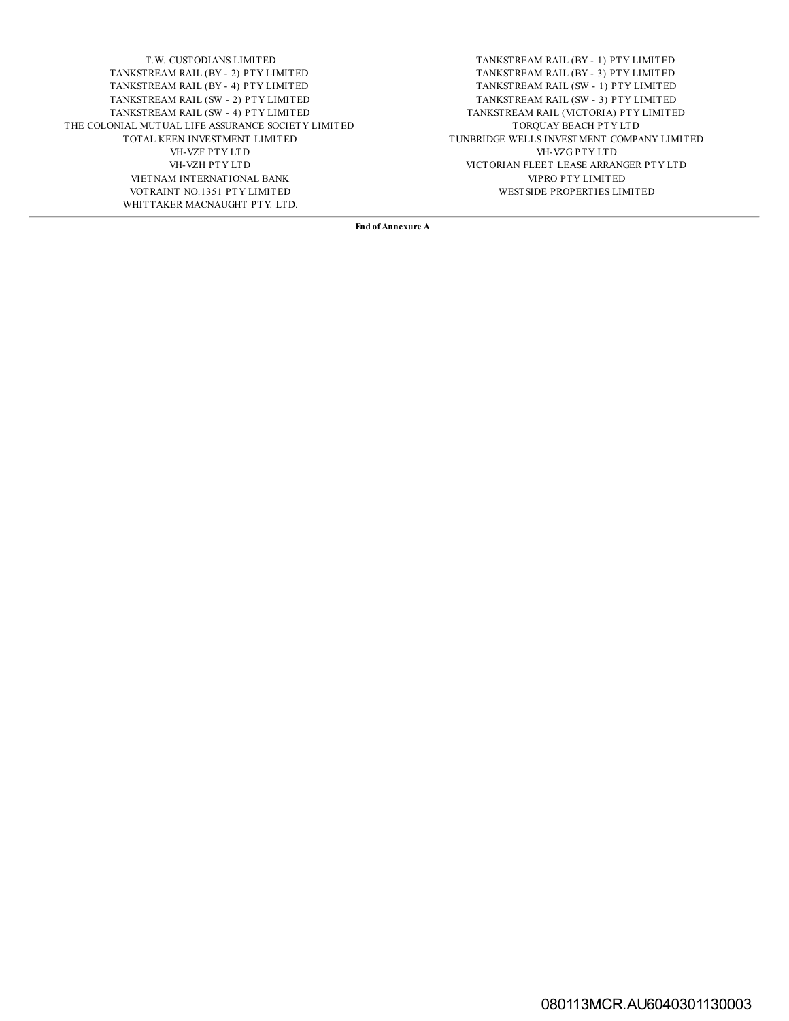T.W. CUSTODIANS LIMITED TANKSTREAM RAIL (BY - 1) PTY LIMITED TANKSTREAM RAIL (BY - 2) PTY LIMITED TANKSTREAM RAIL (BY - 2) PTY LIMITED TANKSTREAM RAIL (BY - 4) PTY LIMITED<br>TANKSTREAM RAIL (SW - 2) PTY LIMITED TANKSTREAM RAIL (SW - 2) PTY LIMITED TANKSTREAM RAIL (SW - 3) PTY LIMITED THE COLONIAL MUTUAL LIFE ASSURANCE SOCIETY LIMITED TORQUAY BEACH PTY LTD TOTAL KEEN INVESTMENT LIMITED TUNBRIDGE WELLS INVESTMENT COMPA VH-VZF PTY LTD VH-VZG PTY LTD VIETNAM INTERNATIONAL BANK VIPRO PTY LIMITED VOTRAINT NO.1351 PTY LIMITED VOTRAINT NO.1351 PTY LIMITED VOTRAINT NO.1351 PTY LIMITED WHITTAKER MACNAUGHT PTY. LTD.

TANKSTREAM RAIL (BY - 2) PTY LIMITED TANKSTREAM RAIL (BY - 3) PTY LIMITED TANKSTREAM RAIL (VICTORIA) PTY LIMITED TUNBRIDGE WELLS INVESTMENT COMPANY LIMITED VICTORIAN FLEET LEASE ARRANGER PTY LTD VIPRO PTY LIMITED

**End of Annexure A**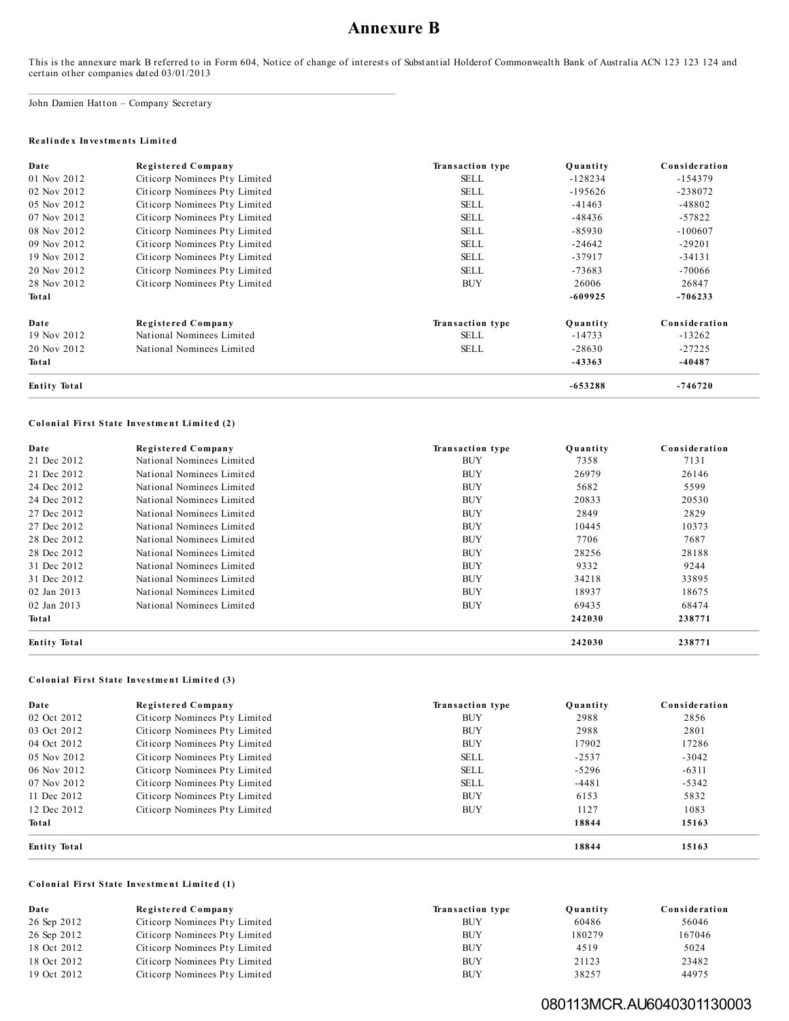# **Annexure B**

This is the annexure mark B referred to in Form 604, Notice of change of interests of Substantial Holderof Commonwealth Bank of Australia ACN 123 123 124 and certain other companies dated 03/01/2013

John Damien Hatton – Company Secretary

#### **Re al i nde x Investme nts Limite d**

| Date                | Registered Company            | Transaction type | Ouantity  | Consideration |
|---------------------|-------------------------------|------------------|-----------|---------------|
| 01 Nov 2012         | Citicorp Nominees Pty Limited | SELL             | $-128234$ | $-154379$     |
| 02 Nov 2012         | Citicorp Nominees Pty Limited | <b>SELL</b>      | $-195626$ | $-238072$     |
| 05 Nov 2012         | Citicorp Nominees Pty Limited | <b>SELL</b>      | $-41463$  | -48802        |
| 07 Nov 2012         | Citicorp Nominees Pty Limited | <b>SELL</b>      | $-48436$  | $-57822$      |
| 08 Nov 2012         | Citicorp Nominees Pty Limited | <b>SELL</b>      | $-85930$  | $-100607$     |
| 09 Nov 2012         | Citicorp Nominees Pty Limited | <b>SELL</b>      | $-24642$  | $-29201$      |
| 19 Nov 2012         | Citicorp Nominees Pty Limited | <b>SELL</b>      | $-37917$  | $-34131$      |
| 20 Nov 2012         | Citicorp Nominees Pty Limited | <b>SELL</b>      | $-73683$  | -70066        |
| 28 Nov 2012         | Citicorp Nominees Pty Limited | <b>BUY</b>       | 26006     | 26847         |
| Total               |                               |                  | $-609925$ | $-706233$     |
| Date                | Registered Company            | Transaction type | Quantity  | Consideration |
| 19 Nov 2012         | National Nominees Limited     | <b>SELL</b>      | -14733    | $-13262$      |
| 20 Nov 2012         | National Nominees Limited     | <b>SELL</b>      | $-28630$  | $-27225$      |
| Total               |                               |                  | $-43363$  | $-40487$      |
| <b>Entity Total</b> |                               |                  | $-653288$ | $-746720$     |

## **Col oni al First State Investme nt Limite d (2)**

| Date                | <b>Registered Company</b> | Transaction type | Ouantity | Consideration |
|---------------------|---------------------------|------------------|----------|---------------|
| 21 Dec 2012         | National Nominees Limited | <b>BUY</b>       | 7358     | 7131          |
| 21 Dec 2012         | National Nominees Limited | <b>BUY</b>       | 26979    | 26146         |
| 24 Dec 2012         | National Nominees Limited | <b>BUY</b>       | 5682     | 5599          |
| 24 Dec 2012         | National Nominees Limited | <b>BUY</b>       | 20833    | 20530         |
| 27 Dec 2012         | National Nominees Limited | <b>BUY</b>       | 2849     | 2829          |
| 27 Dec 2012         | National Nominees Limited | <b>BUY</b>       | 10445    | 10373         |
| 28 Dec 2012         | National Nominees Limited | <b>BUY</b>       | 7706     | 7687          |
| 28 Dec 2012         | National Nominees Limited | <b>BUY</b>       | 28256    | 28188         |
| 31 Dec 2012         | National Nominees Limited | <b>BUY</b>       | 9332     | 9244          |
| 31 Dec 2012         | National Nominees Limited | <b>BUY</b>       | 34218    | 33895         |
| 02 Jan 2013         | National Nominees Limited | <b>BUY</b>       | 18937    | 18675         |
| 02 Jan 2013         | National Nominees Limited | <b>BUY</b>       | 69435    | 68474         |
| Total               |                           |                  | 242030   | 238771        |
| <b>Entity Total</b> |                           |                  | 242030   | 238771        |

## **Col oni al First State Investme nt Limite d (3)**

| Date                | Registered Company            | Transaction type | Ouantity | Consideration |
|---------------------|-------------------------------|------------------|----------|---------------|
| 02 Oct 2012         | Citicorp Nominees Pty Limited | <b>BUY</b>       | 2988     | 2856          |
| 03 Oct 2012         | Citicorp Nominees Pty Limited | <b>BUY</b>       | 2988     | 2801          |
| 04 Oct 2012         | Citicorp Nominees Pty Limited | <b>BUY</b>       | 17902    | 17286         |
| 05 Nov 2012         | Citicorp Nominees Pty Limited | <b>SELL</b>      | $-2537$  | $-3042$       |
| 06 Nov 2012         | Citicorp Nominees Pty Limited | <b>SELL</b>      | $-5296$  | $-6311$       |
| 07 Nov 2012         | Citicorp Nominees Pty Limited | <b>SELL</b>      | $-4481$  | $-5342$       |
| 11 Dec 2012         | Citicorp Nominees Pty Limited | <b>BUY</b>       | 6153     | 5832          |
| 12 Dec 2012         | Citicorp Nominees Pty Limited | <b>BUY</b>       | 1127     | 1083          |
| Total               |                               |                  | 18844    | 15163         |
| <b>Entity Total</b> |                               |                  | 18844    | 15163         |

#### **Col oni al First State Investme nt Limite d (1)**

| Date        | Registered Company            | Transaction type | Ouantity | Consideration |
|-------------|-------------------------------|------------------|----------|---------------|
| 26 Sep 2012 | Citicorp Nominees Pty Limited | BUY              | 60486    | 56046         |
| 26 Sep 2012 | Citicorp Nominees Pty Limited | <b>BUY</b>       | 180279   | 167046        |
| 18 Oct 2012 | Citicorp Nominees Pty Limited | <b>BUY</b>       | 4519     | 5024          |
| 18 Oct 2012 | Citicorp Nominees Pty Limited | <b>BUY</b>       | 21123    | 23482         |
| 19 Oct 2012 | Citicorp Nominees Pty Limited | <b>BUY</b>       | 38257    | 44975         |

# 080113MCR.AU6040301130003